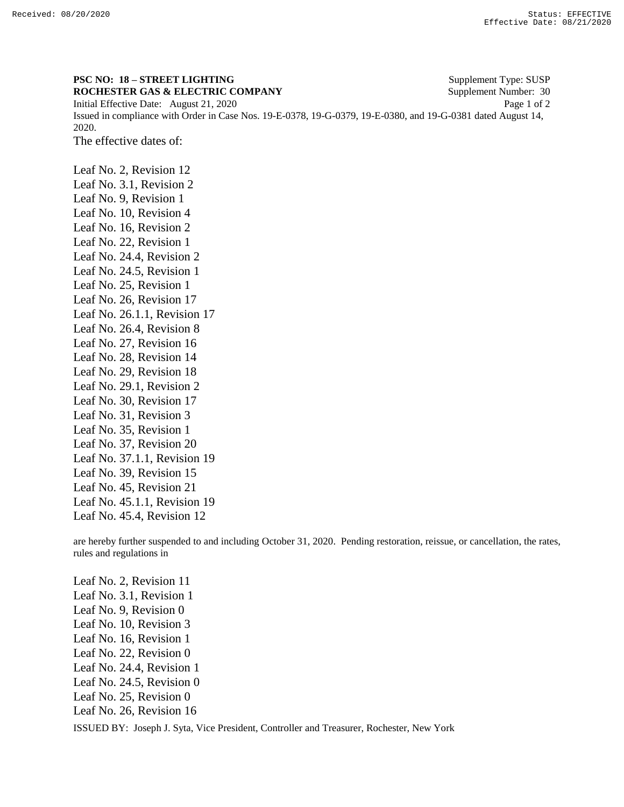## **PSC NO: 18 – STREET LIGHTING** Supplement Type: SUSP

**ROCHESTER GAS & ELECTRIC COMPANY** Supplement Number: 30 Initial Effective Date: August 21, 2020 Page 1 of 2 Issued in compliance with Order in Case Nos. 19-E-0378, 19-G-0379, 19-E-0380, and 19-G-0381 dated August 14, 2020.

The effective dates of:

Leaf No. 2, Revision 12 Leaf No. 3.1, Revision 2 Leaf No. 9, Revision 1 Leaf No. 10, Revision 4 Leaf No. 16, Revision 2 Leaf No. 22, Revision 1 Leaf No. 24.4, Revision 2 Leaf No. 24.5, Revision 1 Leaf No. 25, Revision 1 Leaf No. 26, Revision 17 Leaf No. 26.1.1, Revision 17 Leaf No. 26.4, Revision 8 Leaf No. 27, Revision 16 Leaf No. 28, Revision 14 Leaf No. 29, Revision 18 Leaf No. 29.1, Revision 2 Leaf No. 30, Revision 17 Leaf No. 31, Revision 3 Leaf No. 35, Revision 1 Leaf No. 37, Revision 20 Leaf No. 37.1.1, Revision 19 Leaf No. 39, Revision 15 Leaf No. 45, Revision 21 Leaf No. 45.1.1, Revision 19 Leaf No. 45.4, Revision 12

are hereby further suspended to and including October 31, 2020. Pending restoration, reissue, or cancellation, the rates, rules and regulations in

ISSUED BY: Joseph J. Syta, Vice President, Controller and Treasurer, Rochester, New York Leaf No. 2, Revision 11 Leaf No. 3.1, Revision 1 Leaf No. 9, Revision 0 Leaf No. 10, Revision 3 Leaf No. 16, Revision 1 Leaf No. 22, Revision 0 Leaf No. 24.4, Revision 1 Leaf No. 24.5, Revision 0 Leaf No. 25, Revision 0 Leaf No. 26, Revision 16